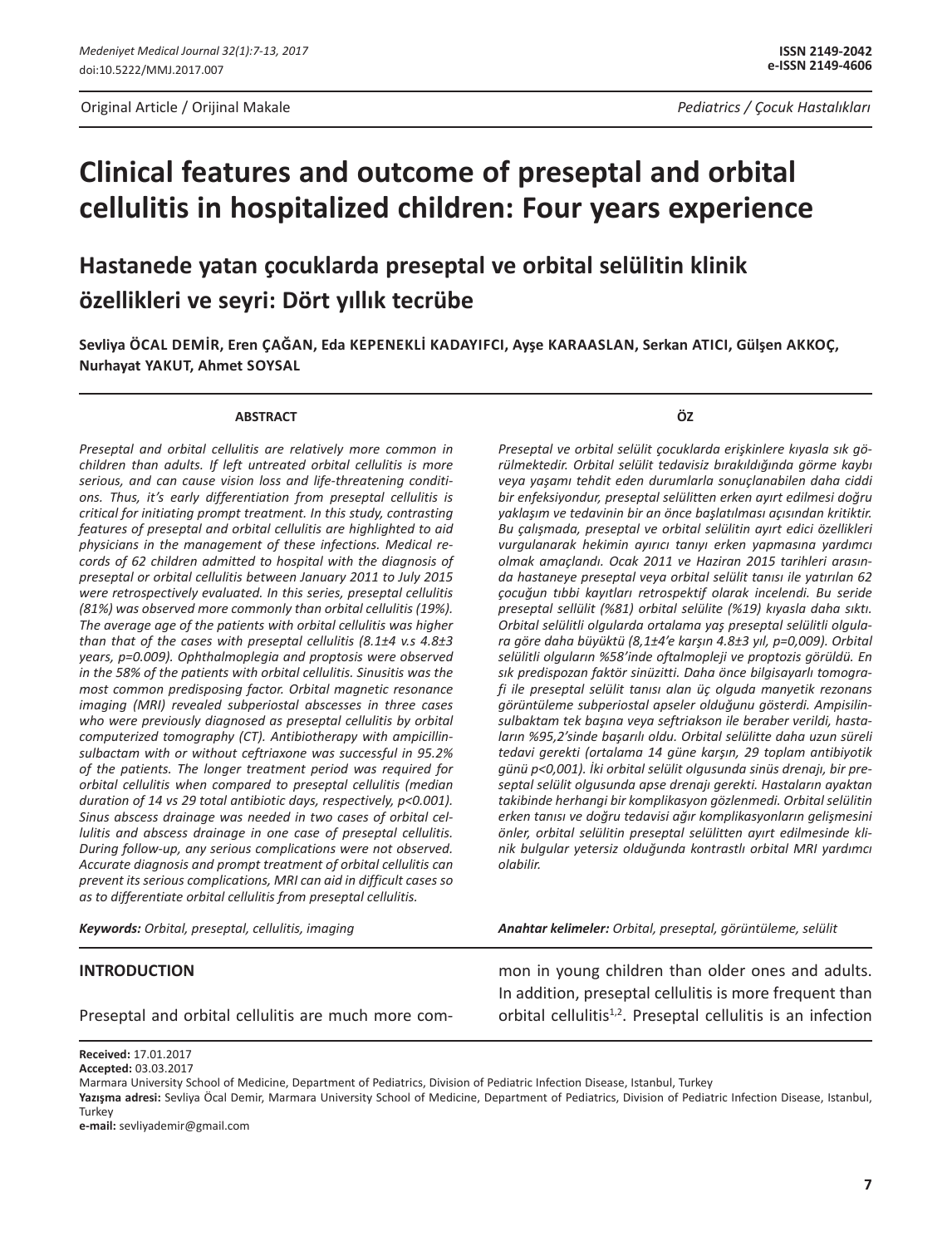# **Clinical features and outcome of preseptal and orbital cellulitis in hospitalized children: Four years experience**

**Hastanede yatan çocuklarda preseptal ve orbital selülitin klinik özellikleri ve seyri: Dört yıllık tecrübe**

**Sevliya Öcal Demİr, Eren Çağan, Eda Kepeneklİ Kadayifci, Ayşe Karaaslan, Serkan Atıcı, Gülşen Akkoç, Nurhayat Yakut, Ahmet Soysal**

#### **ABSTRACT**

*Preseptal and orbital cellulitis are relatively more common in children than adults. If left untreated orbital cellulitis is more serious, and can cause vision loss and life-threatening conditions. Thus, it's early differentiation from preseptal cellulitis is critical for initiating prompt treatment. In this study, contrasting features of preseptal and orbital cellulitis are highlighted to aid physicians in the management of these infections. Medical records of 62 children admitted to hospital with the diagnosis of preseptal or orbital cellulitis between January 2011 to July 2015 were retrospectively evaluated. In this series, preseptal cellulitis (81%) was observed more commonly than orbital cellulitis (19%). The average age of the patients with orbital cellulitis was higher than that of the cases with preseptal cellulitis (8.1±4 v.s 4.8±3 years, p=0.009). Ophthalmoplegia and proptosis were observed in the 58% of the patients with orbital cellulitis. Sinusitis was the most common predisposing factor. Orbital magnetic resonance imaging (MRI) revealed subperiostal abscesses in three cases who were previously diagnosed as preseptal cellulitis by orbital computerized tomography (CT). Antibiotherapy with ampicillinsulbactam with or without ceftriaxone was successful in 95.2% of the patients. The longer treatment period was required for orbital cellulitis when compared to preseptal cellulitis (median duration of 14 vs 29 total antibiotic days, respectively, p<0.001). Sinus abscess drainage was needed in two cases of orbital cellulitis and abscess drainage in one case of preseptal cellulitis. During follow-up, any serious complications were not observed. Accurate diagnosis and prompt treatment of orbital cellulitis can prevent its serious complications, MRI can aid in difficult cases so as to differentiate orbital cellulitis from preseptal cellulitis.*

*Keywords: Orbital, preseptal, cellulitis, imaging*

**ÖZ**

*Preseptal ve orbital selülit çocuklarda erişkinlere kıyasla sık görülmektedir. Orbital selülit tedavisiz bırakıldığında görme kaybı veya yaşamı tehdit eden durumlarla sonuçlanabilen daha ciddi bir enfeksiyondur, preseptal selülitten erken ayırt edilmesi doğru yaklaşım ve tedavinin bir an önce başlatılması açısından kritiktir. Bu çalışmada, preseptal ve orbital selülitin ayırt edici özellikleri vurgulanarak hekimin ayırıcı tanıyı erken yapmasına yardımcı olmak amaçlandı. Ocak 2011 ve Haziran 2015 tarihleri arasında hastaneye preseptal veya orbital selülit tanısı ile yatırılan 62 çocuğun tıbbi kayıtları retrospektif olarak incelendi. Bu seride preseptal sellülit (%81) orbital selülite (%19) kıyasla daha sıktı. Orbital selülitli olgularda ortalama yaş preseptal selülitli olgulara göre daha büyüktü (8,1±4'e karşın 4.8±3 yıl, p=0,009). Orbital selülitli olguların %58'inde oftalmopleji ve proptozis görüldü. En sık predispozan faktör sinüzitti. Daha önce bilgisayarlı tomografi ile preseptal selülit tanısı alan üç olguda manyetik rezonans görüntüleme subperiostal apseler olduğunu gösterdi. Ampisilinsulbaktam tek başına veya seftriakson ile beraber verildi, hastaların %95,2'sinde başarılı oldu. Orbital selülitte daha uzun süreli tedavi gerekti (ortalama 14 güne karşın, 29 toplam antibiyotik günü p<0,001). İki orbital selülit olgusunda sinüs drenajı, bir preseptal selülit olgusunda apse drenajı gerekti. Hastaların ayaktan takibinde herhangi bir komplikasyon gözlenmedi. Orbital selülitin erken tanısı ve doğru tedavisi ağır komplikasyonların gelişmesini önler, orbital selülitin preseptal selülitten ayırt edilmesinde klinik bulgular yetersiz olduğunda kontrastlı orbital MRI yardımcı olabilir.* 

*Anahtar kelimeler: Orbital, preseptal, görüntüleme, selülit*

#### **INTRODUCTION**

Preseptal and orbital cellulitis are much more com-

mon in young children than older ones and adults. In addition, preseptal cellulitis is more frequent than orbital cellulitis<sup>1,2</sup>. Preseptal cellulitis is an infection

**e-mail:** sevliyademir@gmail.com

**Received:** 17.01.2017 **Accepted:** 03.03.2017

Marmara University School of Medicine, Department of Pediatrics, Division of Pediatric Infection Disease, Istanbul, Turkey

Yazışma adresi: Sevliya Öcal Demir, Marmara University School of Medicine, Department of Pediatrics, Division of Pediatric Infection Disease, Istanbul, **Turkey**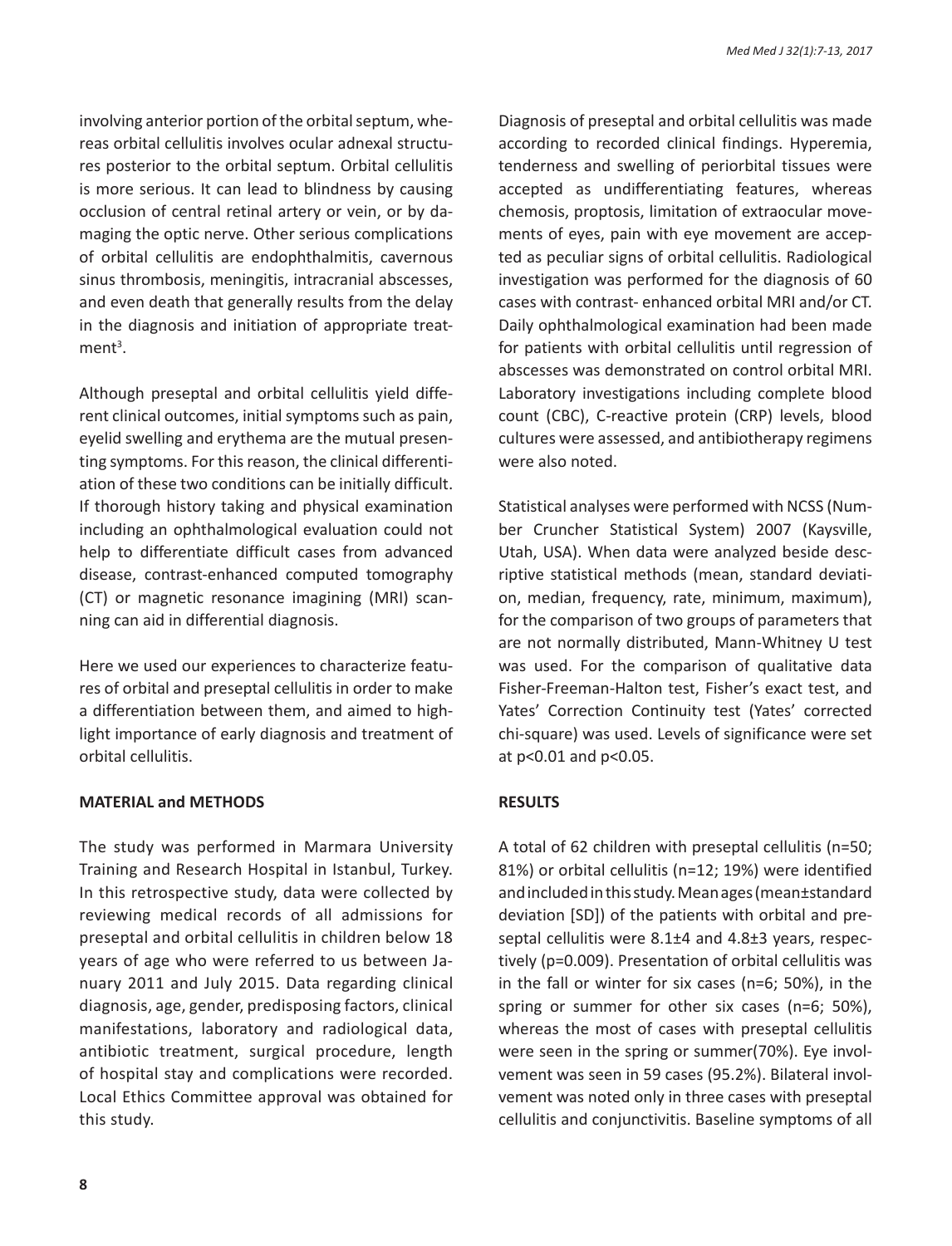involving anterior portion of the orbital septum, whereas orbital cellulitis involves ocular adnexal structures posterior to the orbital septum. Orbital cellulitis is more serious. It can lead to blindness by causing occlusion of central retinal artery or vein, or by damaging the optic nerve. Other serious complications of orbital cellulitis are endophthalmitis, cavernous sinus thrombosis, meningitis, intracranial abscesses, and even death that generally results from the delay in the diagnosis and initiation of appropriate treat $ment<sup>3</sup>$ .

Although preseptal and orbital cellulitis yield different clinical outcomes, initial symptoms such as pain, eyelid swelling and erythema are the mutual presenting symptoms. For this reason, the clinical differentiation of these two conditions can be initially difficult. If thorough history taking and physical examination including an ophthalmological evaluation could not help to differentiate difficult cases from advanced disease, contrast-enhanced computed tomography (CT) or magnetic resonance imagining (MRI) scanning can aid in differential diagnosis.

Here we used our experiences to characterize features of orbital and preseptal cellulitis in order to make a differentiation between them, and aimed to highlight importance of early diagnosis and treatment of orbital cellulitis.

### **MATERIAL and METHODS**

The study was performed in Marmara University Training and Research Hospital in Istanbul, Turkey. In this retrospective study, data were collected by reviewing medical records of all admissions for preseptal and orbital cellulitis in children below 18 years of age who were referred to us between January 2011 and July 2015. Data regarding clinical diagnosis, age, gender, predisposing factors, clinical manifestations, laboratory and radiological data, antibiotic treatment, surgical procedure, length of hospital stay and complications were recorded. Local Ethics Committee approval was obtained for this study.

Diagnosis of preseptal and orbital cellulitis was made according to recorded clinical findings. Hyperemia, tenderness and swelling of periorbital tissues were accepted as undifferentiating features, whereas chemosis, proptosis, limitation of extraocular movements of eyes, pain with eye movement are accepted as peculiar signs of orbital cellulitis. Radiological investigation was performed for the diagnosis of 60 cases with contrast- enhanced orbital MRI and/or CT. Daily ophthalmological examination had been made for patients with orbital cellulitis until regression of abscesses was demonstrated on control orbital MRI. Laboratory investigations including complete blood count (CBC), C-reactive protein (CRP) levels, blood cultures were assessed, and antibiotherapy regimens were also noted.

Statistical analyses were performed with NCSS (Number Cruncher Statistical System) 2007 (Kaysville, Utah, USA). When data were analyzed beside descriptive statistical methods (mean, standard deviation, median, frequency, rate, minimum, maximum), for the comparison of two groups of parameters that are not normally distributed, Mann-Whitney U test was used. For the comparison of qualitative data Fisher-Freeman-Halton test, Fisher's exact test, and Yates' Correction Continuity test (Yates' corrected chi-square) was used. Levels of significance were set at p<0.01 and p<0.05.

### **RESULTS**

A total of 62 children with preseptal cellulitis (n=50; 81%) or orbital cellulitis (n=12; 19%) were identified and included in this study. Mean ages (mean±standard deviation [SD]) of the patients with orbital and preseptal cellulitis were 8.1±4 and 4.8±3 years, respectively (p=0.009). Presentation of orbital cellulitis was in the fall or winter for six cases (n=6; 50%), in the spring or summer for other six cases (n=6; 50%), whereas the most of cases with preseptal cellulitis were seen in the spring or summer(70%). Eye involvement was seen in 59 cases (95.2%). Bilateral involvement was noted only in three cases with preseptal cellulitis and conjunctivitis. Baseline symptoms of all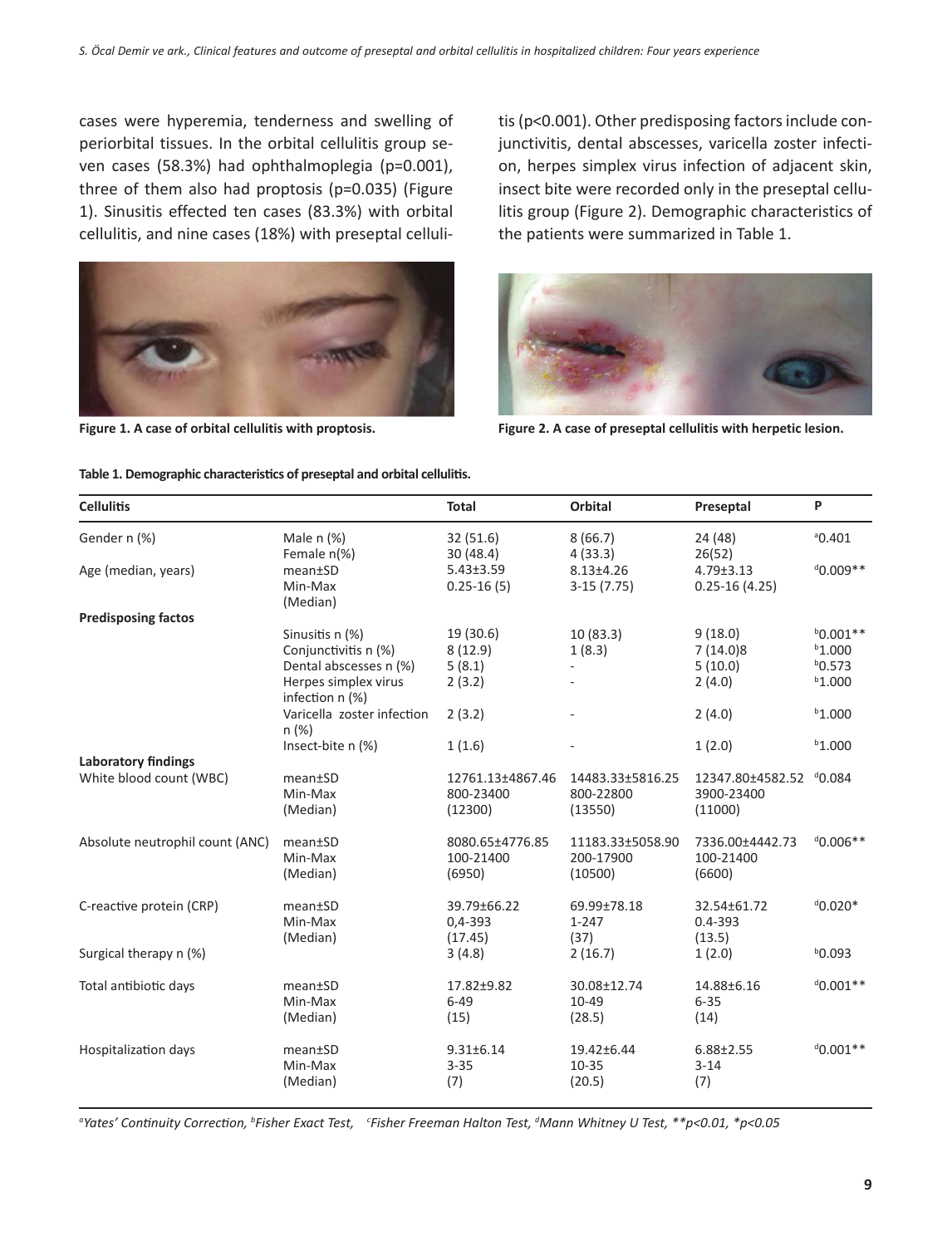cases were hyperemia, tenderness and swelling of periorbital tissues. In the orbital cellulitis group seven cases (58.3%) had ophthalmoplegia (p=0.001), three of them also had proptosis (p=0.035) (Figure 1). Sinusitis effected ten cases (83.3%) with orbital cellulitis, and nine cases (18%) with preseptal celluli-



tis (p<0.001). Other predisposing factors include conjunctivitis, dental abscesses, varicella zoster infection, herpes simplex virus infection of adjacent skin, insect bite were recorded only in the preseptal cellulitis group (Figure 2). Demographic characteristics of the patients were summarized in Table 1.



**Figure 1. A case of orbital cellulitis with proptosis. Figure 2. A case of preseptal cellulitis with herpetic lesion.**

| Demographie enaracteristics or preseptar and orbital cen |                                                                                           |                                          |                                          |                                                  |                                                   |
|----------------------------------------------------------|-------------------------------------------------------------------------------------------|------------------------------------------|------------------------------------------|--------------------------------------------------|---------------------------------------------------|
| <b>Cellulitis</b>                                        |                                                                                           | Total                                    | Orbital                                  | Preseptal                                        | P                                                 |
| Gender n (%)                                             | Male $n$ $%$<br>Female n(%)                                                               | 32(51.6)<br>30(48.4)                     | 8(66.7)<br>4(33.3)                       | 24 (48)<br>26(52)                                | 0.401                                             |
| Age (median, years)                                      | mean±SD<br>Min-Max<br>(Median)                                                            | $5.43 \pm 3.59$<br>$0.25 - 16(5)$        | $8.13{\pm}4.26$<br>$3-15(7.75)$          | $4.79 \pm 3.13$<br>$0.25 - 16(4.25)$             | $0.009**$                                         |
| <b>Predisposing factos</b>                               |                                                                                           |                                          |                                          |                                                  |                                                   |
|                                                          | Sinusitis n (%)<br>Conjunctivitis n (%)<br>Dental abscesses n (%)<br>Herpes simplex virus | 19 (30.6)<br>8(12.9)<br>5(8.1)<br>2(3.2) | 10(83.3)<br>1(8.3)                       | 9(18.0)<br>7(14.0)8<br>5(10.0)<br>2(4.0)         | $b0.001**$<br>$b$ 1.000<br>$b$ 0.573<br>$b$ 1.000 |
|                                                          | infection n (%)<br>Varicella zoster infection<br>n(%)                                     | 2(3.2)                                   |                                          | 2(4.0)                                           | $b$ 1.000                                         |
|                                                          | Insect-bite n (%)                                                                         | 1(1.6)                                   |                                          | 1(2.0)                                           | $b$ 1.000                                         |
| <b>Laboratory findings</b>                               |                                                                                           |                                          |                                          |                                                  |                                                   |
| White blood count (WBC)                                  | mean±SD<br>Min-Max<br>(Median)                                                            | 12761.13±4867.46<br>800-23400<br>(12300) | 14483.33±5816.25<br>800-22800<br>(13550) | 12347.80±4582.52 d0.084<br>3900-23400<br>(11000) |                                                   |
| Absolute neutrophil count (ANC)                          | mean±SD<br>Min-Max<br>(Median)                                                            | 8080.65±4776.85<br>100-21400<br>(6950)   | 11183.33±5058.90<br>200-17900<br>(10500) | 7336.00±4442.73<br>100-21400<br>(6600)           | $^{d}$ 0.006**                                    |
| C-reactive protein (CRP)                                 | mean±SD<br>Min-Max<br>(Median)                                                            | 39.79±66.22<br>$0,4-393$<br>(17.45)      | 69.99±78.18<br>$1 - 247$<br>(37)         | 32.54±61.72<br>$0.4 - 393$<br>(13.5)             | $d_{0.020*}$                                      |
| Surgical therapy n (%)                                   |                                                                                           | 3(4.8)                                   | 2(16.7)                                  | 1(2.0)                                           | $b$ 0.093                                         |
| Total antibiotic days                                    | mean±SD<br>Min-Max<br>(Median)                                                            | 17.82±9.82<br>$6 - 49$<br>(15)           | 30.08±12.74<br>10-49<br>(28.5)           | 14.88±6.16<br>$6 - 35$<br>(14)                   | $0.001**$                                         |
| Hospitalization days                                     | mean±SD<br>Min-Max<br>(Median)                                                            | $9.31 \pm 6.14$<br>$3 - 35$<br>(7)       | 19.42±6.44<br>$10 - 35$<br>(20.5)        | $6.88 \pm 2.55$<br>$3 - 14$<br>(7)               | $^{d}$ 0.001**                                    |

#### **Table 1. Demographic characteristics of preseptal and orbital cellulitis.**

*a Yates' Continuity Correction, <sup>b</sup> Fisher Exact Test, <sup>c</sup> Fisher Freeman Halton Test, d Mann Whitney U Test, \*\*p<0.01, \*p<0.05*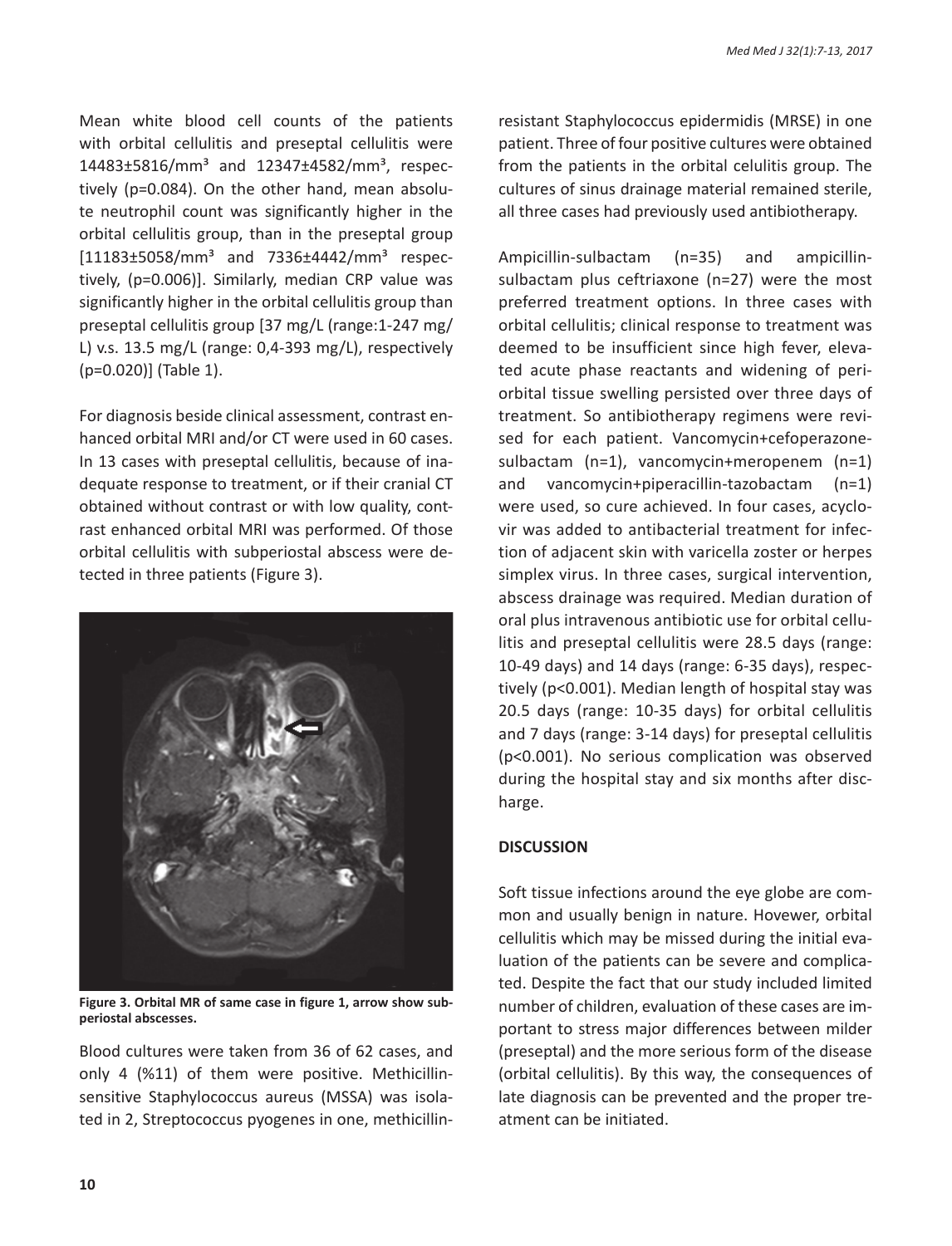Mean white blood cell counts of the patients with orbital cellulitis and preseptal cellulitis were 14483±5816/mm<sup>3</sup> and 12347±4582/mm<sup>3</sup>, respectively (p=0.084). On the other hand, mean absolute neutrophil count was significantly higher in the orbital cellulitis group, than in the preseptal group  $[11183 \pm 5058/mm^3$  and  $7336 \pm 4442/mm^3$  respectively, (p=0.006)]. Similarly, median CRP value was significantly higher in the orbital cellulitis group than preseptal cellulitis group [37 mg/L (range:1-247 mg/ L) v.s. 13.5 mg/L (range: 0,4-393 mg/L), respectively (p=0.020)] (Table 1).

For diagnosis beside clinical assessment, contrast enhanced orbital MRI and/or CT were used in 60 cases. In 13 cases with preseptal cellulitis, because of inadequate response to treatment, or if their cranial CT obtained without contrast or with low quality, contrast enhanced orbital MRI was performed. Of those orbital cellulitis with subperiostal abscess were detected in three patients (Figure 3).



**Figure 3. Orbital MR of same case in figure 1, arrow show subperiostal abscesses.**

Blood cultures were taken from 36 of 62 cases, and only 4 (%11) of them were positive. Methicillinsensitive Staphylococcus aureus (MSSA) was isolated in 2, Streptococcus pyogenes in one, methicillinresistant Staphylococcus epidermidis (MRSE) in one patient. Three of four positive cultures were obtained from the patients in the orbital celulitis group. The cultures of sinus drainage material remained sterile, all three cases had previously used antibiotherapy.

Ampicillin-sulbactam (n=35) and ampicillinsulbactam plus ceftriaxone (n=27) were the most preferred treatment options. In three cases with orbital cellulitis; clinical response to treatment was deemed to be insufficient since high fever, elevated acute phase reactants and widening of periorbital tissue swelling persisted over three days of treatment. So antibiotherapy regimens were revised for each patient. Vancomycin+cefoperazonesulbactam (n=1), vancomycin+meropenem (n=1) and vancomycin+piperacillin-tazobactam (n=1) were used, so cure achieved. In four cases, acyclovir was added to antibacterial treatment for infection of adjacent skin with varicella zoster or herpes simplex virus. In three cases, surgical intervention, abscess drainage was required. Median duration of oral plus intravenous antibiotic use for orbital cellulitis and preseptal cellulitis were 28.5 days (range: 10-49 days) and 14 days (range: 6-35 days), respectively (p<0.001). Median length of hospital stay was 20.5 days (range: 10-35 days) for orbital cellulitis and 7 days (range: 3-14 days) for preseptal cellulitis (p<0.001). No serious complication was observed during the hospital stay and six months after discharge.

## **DISCUSSION**

Soft tissue infections around the eye globe are common and usually benign in nature. Hovewer, orbital cellulitis which may be missed during the initial evaluation of the patients can be severe and complicated. Despite the fact that our study included limited number of children, evaluation of these cases are important to stress major differences between milder (preseptal) and the more serious form of the disease (orbital cellulitis). By this way, the consequences of late diagnosis can be prevented and the proper treatment can be initiated.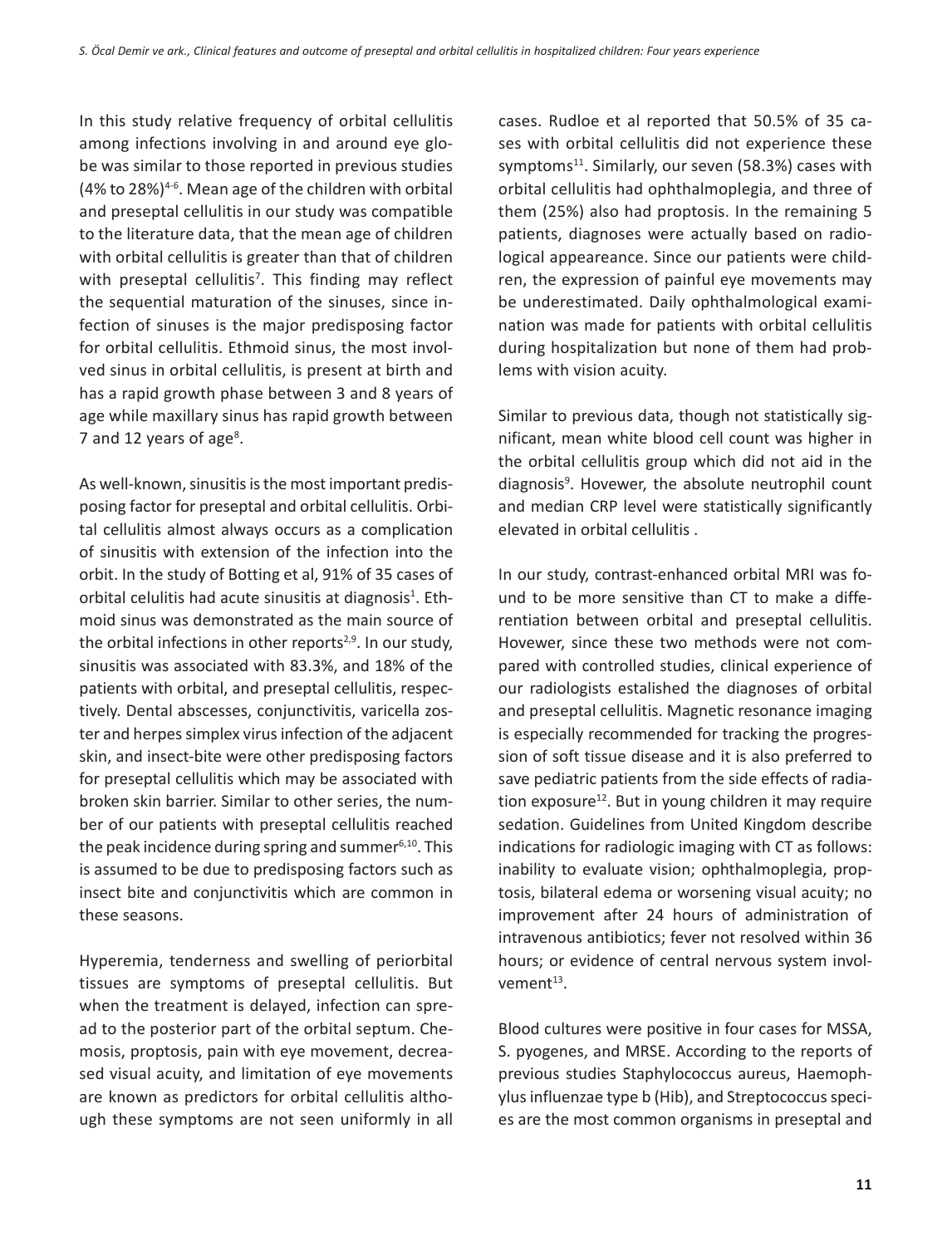In this study relative frequency of orbital cellulitis among infections involving in and around eye globe was similar to those reported in previous studies (4% to 28%)4-6. Mean age of the children with orbital and preseptal cellulitis in our study was compatible to the literature data, that the mean age of children with orbital cellulitis is greater than that of children with preseptal cellulitis<sup>7</sup>. This finding may reflect the sequential maturation of the sinuses, since infection of sinuses is the major predisposing factor for orbital cellulitis. Ethmoid sinus, the most involved sinus in orbital cellulitis, is present at birth and has a rapid growth phase between 3 and 8 years of age while maxillary sinus has rapid growth between 7 and 12 years of age<sup>8</sup>.

As well-known, sinusitis is the most important predisposing factor for preseptal and orbital cellulitis. Orbital cellulitis almost always occurs as a complication of sinusitis with extension of the infection into the orbit. In the study of Botting et al, 91% of 35 cases of orbital celulitis had acute sinusitis at diagnosis<sup>1</sup>. Ethmoid sinus was demonstrated as the main source of the orbital infections in other reports<sup> $2,9$ </sup>. In our study, sinusitis was associated with 83.3%, and 18% of the patients with orbital, and preseptal cellulitis, respectively. Dental abscesses, conjunctivitis, varicella zoster and herpes simplex virus infection of the adjacent skin, and insect-bite were other predisposing factors for preseptal cellulitis which may be associated with broken skin barrier. Similar to other series, the number of our patients with preseptal cellulitis reached the peak incidence during spring and summer $6,10$ . This is assumed to be due to predisposing factors such as insect bite and conjunctivitis which are common in these seasons.

Hyperemia, tenderness and swelling of periorbital tissues are symptoms of preseptal cellulitis. But when the treatment is delayed, infection can spread to the posterior part of the orbital septum. Chemosis, proptosis, pain with eye movement, decreased visual acuity, and limitation of eye movements are known as predictors for orbital cellulitis although these symptoms are not seen uniformly in all cases. Rudloe et al reported that 50.5% of 35 cases with orbital cellulitis did not experience these symptoms $^{11}$ . Similarly, our seven (58.3%) cases with orbital cellulitis had ophthalmoplegia, and three of them (25%) also had proptosis. In the remaining 5 patients, diagnoses were actually based on radiological appeareance. Since our patients were children, the expression of painful eye movements may be underestimated. Daily ophthalmological examination was made for patients with orbital cellulitis during hospitalization but none of them had problems with vision acuity.

Similar to previous data, though not statistically significant, mean white blood cell count was higher in the orbital cellulitis group which did not aid in the diagnosis<sup>9</sup>. Hovewer, the absolute neutrophil count and median CRP level were statistically significantly elevated in orbital cellulitis .

In our study, contrast-enhanced orbital MRI was found to be more sensitive than CT to make a differentiation between orbital and preseptal cellulitis. Hovewer, since these two methods were not compared with controlled studies, clinical experience of our radiologists estalished the diagnoses of orbital and preseptal cellulitis. Magnetic resonance imaging is especially recommended for tracking the progression of soft tissue disease and it is also preferred to save pediatric patients from the side effects of radiation exposure<sup>12</sup>. But in young children it may require sedation. Guidelines from United Kingdom describe indications for radiologic imaging with CT as follows: inability to evaluate vision; ophthalmoplegia, proptosis, bilateral edema or worsening visual acuity; no improvement after 24 hours of administration of intravenous antibiotics; fever not resolved within 36 hours; or evidence of central nervous system involvement $13$ .

Blood cultures were positive in four cases for MSSA, S. pyogenes, and MRSE. According to the reports of previous studies Staphylococcus aureus, Haemophylus influenzae type b (Hib), and Streptococcus species are the most common organisms in preseptal and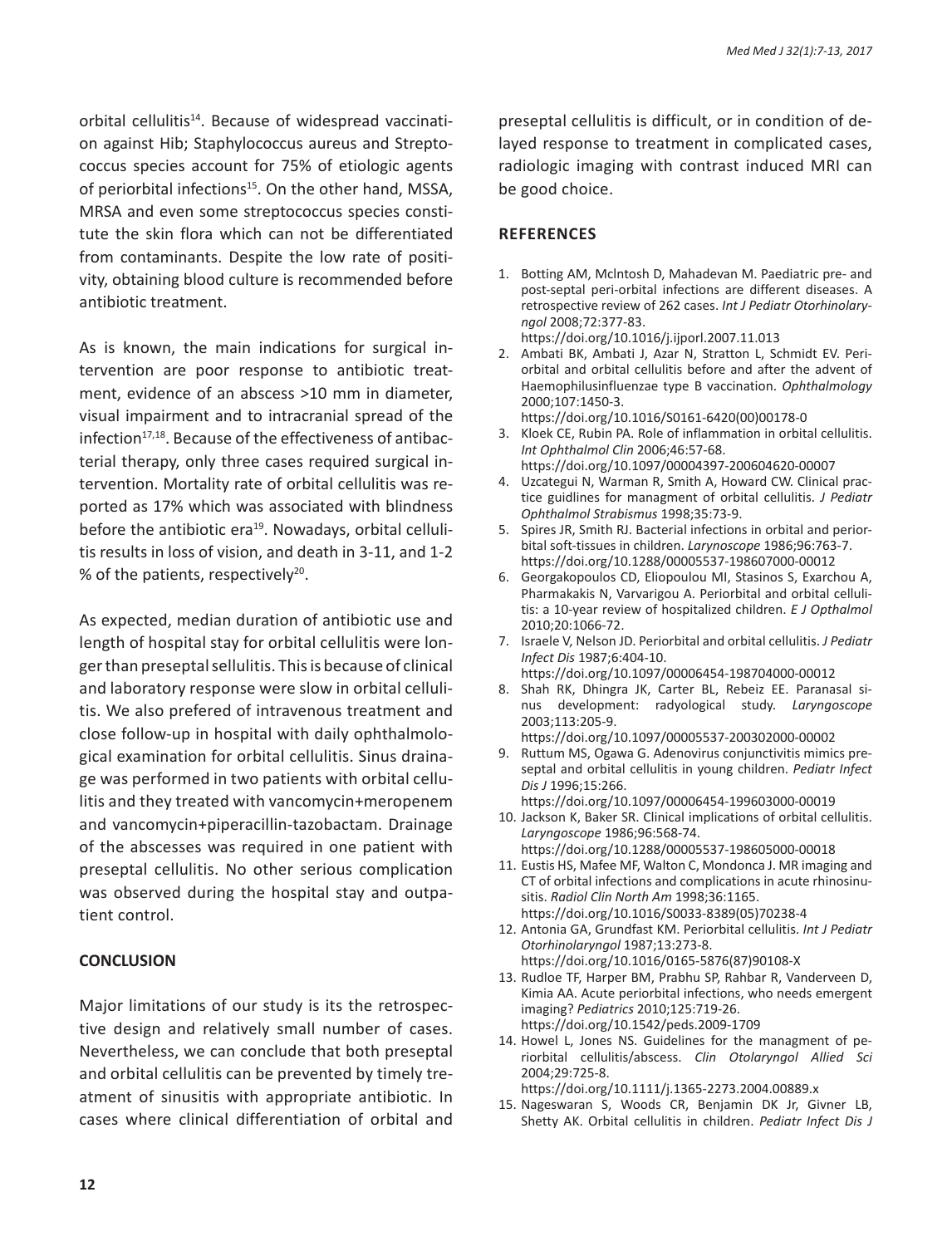orbital cellulitis<sup>14</sup>. Because of widespread vaccination against Hib; Staphylococcus aureus and Streptococcus species account for 75% of etiologic agents of periorbital infections<sup>15</sup>. On the other hand, MSSA, MRSA and even some streptococcus species constitute the skin flora which can not be differentiated from contaminants. Despite the low rate of positivity, obtaining blood culture is recommended before antibiotic treatment.

As is known, the main indications for surgical intervention are poor response to antibiotic treatment, evidence of an abscess >10 mm in diameter, visual impairment and to intracranial spread of the infection<sup>17,18</sup>. Because of the effectiveness of antibacterial therapy, only three cases required surgical intervention. Mortality rate of orbital cellulitis was reported as 17% which was associated with blindness before the antibiotic era<sup>19</sup>. Nowadays, orbital cellulitis results in loss of vision, and death in 3-11, and 1-2 % of the patients, respectively<sup>20</sup>.

As expected, median duration of antibiotic use and length of hospital stay for orbital cellulitis were longer than preseptal sellulitis. This is because of clinical and laboratory response were slow in orbital cellulitis. We also prefered of intravenous treatment and close follow-up in hospital with daily ophthalmological examination for orbital cellulitis. Sinus drainage was performed in two patients with orbital cellulitis and they treated with vancomycin+meropenem and vancomycin+piperacillin-tazobactam. Drainage of the abscesses was required in one patient with preseptal cellulitis. No other serious complication was observed during the hospital stay and outpatient control.

### **CONCLUSION**

Major limitations of our study is its the retrospective design and relatively small number of cases. Nevertheless, we can conclude that both preseptal and orbital cellulitis can be prevented by timely treatment of sinusitis with appropriate antibiotic. In cases where clinical differentiation of orbital and preseptal cellulitis is difficult, or in condition of delayed response to treatment in complicated cases, radiologic imaging with contrast induced MRI can be good choice.

#### **References**

- 1. Botting AM, Mclntosh D, Mahadevan M. Paediatric pre- and post-septal peri-orbital infections are different diseases. A retrospective review of 262 cases. *Int J Pediatr Otorhinolaryngol* 2008;72:377-83. https://doi.org/10.1016/j.ijporl.2007.11.013
- 2. Ambati BK, Ambati J, Azar N, Stratton L, Schmidt EV. Periorbital and orbital cellulitis before and after the advent of Haemophilusinfluenzae type B vaccination. *Ophthalmology* 2000;107:1450-3.
- https://doi.org/10.1016/S0161-6420(00)00178-0 3. Kloek CE, Rubin PA. Role of inflammation in orbital cellulitis. *Int Ophthalmol Clin* 2006;46:57-68.
	- https://doi.org/10.1097/00004397-200604620-00007
- 4. Uzcategui N, Warman R, Smith A, Howard CW. Clinical practice guidlines for managment of orbital cellulitis. *J Pediatr Ophthalmol Strabismus* 1998;35:73-9.
- 5. Spires JR, Smith RJ. Bacterial infections in orbital and periorbital soft-tissues in children. *Larynoscope* 1986;96:763-7. https://doi.org/10.1288/00005537-198607000-00012
- 6. Georgakopoulos CD, Eliopoulou MI, Stasinos S, Exarchou A, Pharmakakis N, Varvarigou A. Periorbital and orbital cellulitis: a 10-year review of hospitalized children. *E J Opthalmol*  2010;20:1066-72.
- 7. Israele V, Nelson JD. Periorbital and orbital cellulitis. *J Pediatr Infect Dis* 1987;6:404-10. https://doi.org/10.1097/00006454-198704000-00012
- 8. Shah RK, Dhingra JK, Carter BL, Rebeiz EE. Paranasal sinus development: radyological study. *Laryngoscope* 2003;113:205-9.
- https://doi.org/10.1097/00005537-200302000-00002
- 9. Ruttum MS, Ogawa G. Adenovirus conjunctivitis mimics preseptal and orbital cellulitis in young children. *Pediatr Infect Dis J* 1996;15:266. https://doi.org/10.1097/00006454-199603000-00019
- 10. Jackson K, Baker SR. Clinical implications of orbital cellulitis. *Laryngoscope* 1986;96:568-74.
	- https://doi.org/10.1288/00005537-198605000-00018
- 11. Eustis HS, Mafee MF, Walton C, Mondonca J. MR imaging and CT of orbital infections and complications in acute rhinosinusitis. *Radiol Clin North Am* 1998;36:1165. https://doi.org/10.1016/S0033-8389(05)70238-4
- 12. Antonia GA, Grundfast KM. Periorbital cellulitis. *Int J Pediatr Otorhinolaryngol* 1987;13:273-8. https://doi.org/10.1016/0165-5876(87)90108-X
- 13. Rudloe TF, Harper BM, Prabhu SP, Rahbar R, Vanderveen D, Kimia AA. Acute periorbital infections, who needs emergent imaging? *Pediatrics* 2010;125:719-26. https://doi.org/10.1542/peds.2009-1709
- 14. Howel L, Jones NS. Guidelines for the managment of periorbital cellulitis/abscess. *Clin Otolaryngol Allied Sci*  2004;29:725-8.
	- https://doi.org/10.1111/j.1365-2273.2004.00889.x
- 15. Nageswaran S, Woods CR, Benjamin DK Jr, Givner LB, Shetty AK. Orbital cellulitis in children. *Pediatr Infect Dis J*